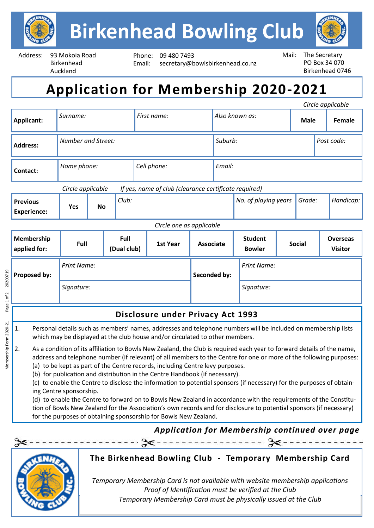

Address: 93 Mokoia Road Birkenhead Auckland

Phone: 09 480 7493 Email: secretary@bowlsbirkenhead.co.nz



# **Application for Membership 2020-2021**

|                                       |                                                                            |                    |  |          |                  |              |                                 |                    |  |                                   |           | Circle applicable |
|---------------------------------------|----------------------------------------------------------------------------|--------------------|--|----------|------------------|--------------|---------------------------------|--------------------|--|-----------------------------------|-----------|-------------------|
| Applicant:                            | Surname:                                                                   |                    |  |          | First name:      |              | Also known as:                  |                    |  | <b>Male</b>                       |           | Female            |
| <b>Address:</b>                       | <b>Number and Street:</b>                                                  |                    |  |          |                  |              | Suburb:                         |                    |  | Post code:                        |           |                   |
| Contact:                              | Home phone:                                                                |                    |  |          | Cell phone:      |              | Email:                          |                    |  |                                   |           |                   |
|                                       | Circle applicable<br>If yes, name of club (clearance certificate required) |                    |  |          |                  |              |                                 |                    |  |                                   |           |                   |
| <b>Previous</b><br><b>Experience:</b> | Yes                                                                        | Club:<br><b>No</b> |  |          |                  |              | No. of playing years            |                    |  | Grade:                            | Handicap: |                   |
| Circle one as applicable              |                                                                            |                    |  |          |                  |              |                                 |                    |  |                                   |           |                   |
| Membership<br>applied for:            | Full<br>Full<br>(Dual club)                                                |                    |  | 1st Year | <b>Associate</b> |              | <b>Student</b><br><b>Bowler</b> | <b>Social</b>      |  | <b>Overseas</b><br><b>Visitor</b> |           |                   |
| Proposed by:                          | <b>Print Name:</b>                                                         |                    |  |          |                  | Seconded by: |                                 | <b>Print Name:</b> |  |                                   |           |                   |
|                                       | Signature:                                                                 |                    |  |          |                  |              |                                 | Signature:         |  |                                   |           |                   |
| Disclosure under Privacy Act 1993     |                                                                            |                    |  |          |                  |              |                                 |                    |  |                                   |           |                   |

- 1. Personal details such as members' names, addresses and telephone numbers will be included on membership lists which may be displayed at the club house and/or circulated to other members.
- 2. As a condition of its affiliation to Bowls New Zealand, the Club is required each year to forward details of the name, address and telephone number (if relevant) of all members to the Centre for one or more of the following purposes:
	- (a) to be kept as part of the Centre records, including Centre levy purposes.
	- (b) for publication and distribution in the Centre Handbook (if necessary).
	- (c) to enable the Centre to disclose the information to potential sponsors (if necessary) for the purposes of obtaining Centre sponsorship.
	- (d) to enable the Centre to forward on to Bowls New Zealand in accordance with the requirements of the Constitution of Bowls New Zealand for the Association's own records and for disclosure to potential sponsors (if necessary) for the purposes of obtaining sponsorship for Bowls New Zealand.

## *Application for Membership continued over page*



#### **The Birkenhead Bowling Club - Temporary Membership Card**

--------------- %

*Signature of Board Member: Date: Temporary Membership Card must be physically issued at the ClubTemporary Membership Card is not available with website membership applications* Proof of Identification must be verified at the Club